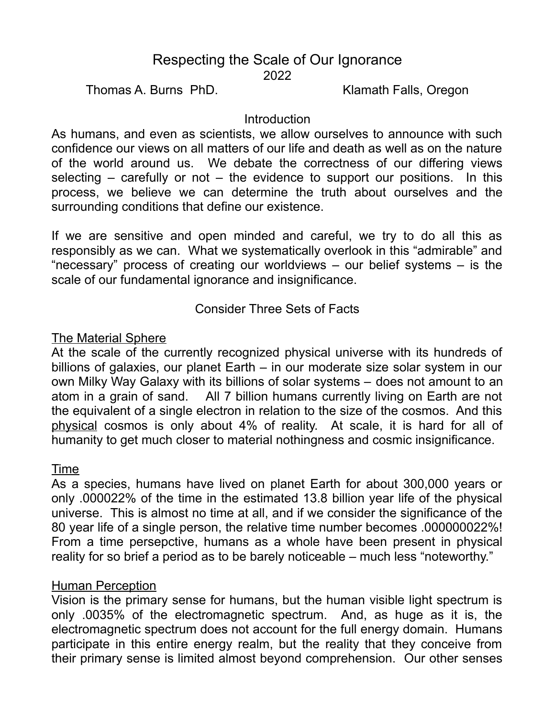# Respecting the Scale of Our Ignorance 2022

Thomas A. Burns PhD. Klamath Falls, Oregon

## **Introduction**

As humans, and even as scientists, we allow ourselves to announce with such confidence our views on all matters of our life and death as well as on the nature of the world around us. We debate the correctness of our differing views selecting  $-$  carefully or not  $-$  the evidence to support our positions. In this process, we believe we can determine the truth about ourselves and the surrounding conditions that define our existence.

If we are sensitive and open minded and careful, we try to do all this as responsibly as we can. What we systematically overlook in this "admirable" and "necessary" process of creating our worldviews – our belief systems – is the scale of our fundamental ignorance and insignificance.

Consider Three Sets of Facts

## The Material Sphere

At the scale of the currently recognized physical universe with its hundreds of billions of galaxies, our planet Earth – in our moderate size solar system in our own Milky Way Galaxy with its billions of solar systems – does not amount to an atom in a grain of sand. All 7 billion humans currently living on Earth are not the equivalent of a single electron in relation to the size of the cosmos. And this physical cosmos is only about 4% of reality. At scale, it is hard for all of humanity to get much closer to material nothingness and cosmic insignificance.

#### Time

As a species, humans have lived on planet Earth for about 300,000 years or only .000022% of the time in the estimated 13.8 billion year life of the physical universe. This is almost no time at all, and if we consider the significance of the 80 year life of a single person, the relative time number becomes .000000022%! From a time persepctive, humans as a whole have been present in physical reality for so brief a period as to be barely noticeable – much less "noteworthy."

# Human Perception

Vision is the primary sense for humans, but the human visible light spectrum is only .0035% of the electromagnetic spectrum. And, as huge as it is, the electromagnetic spectrum does not account for the full energy domain. Humans participate in this entire energy realm, but the reality that they conceive from their primary sense is limited almost beyond comprehension. Our other senses